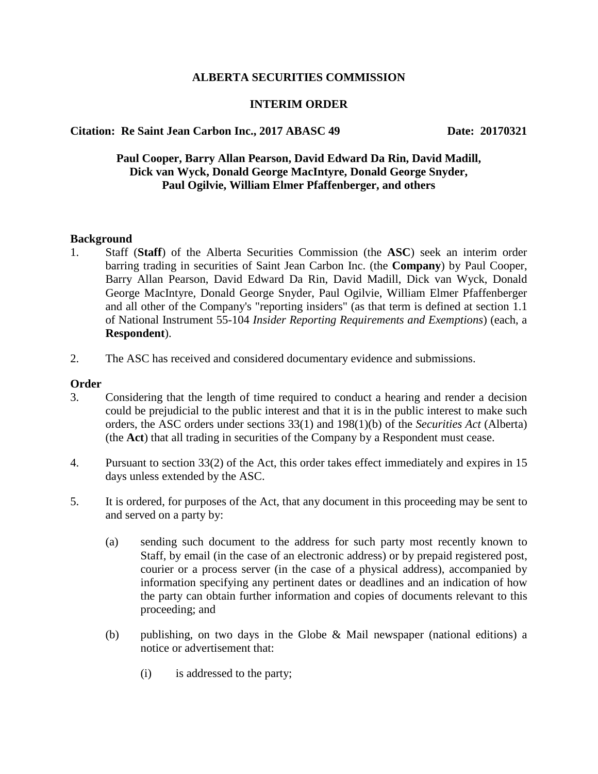## **ALBERTA SECURITIES COMMISSION**

# **INTERIM ORDER**

# **Citation: Re Saint Jean Carbon Inc., 2017 ABASC 49 Date: 20170321**

# **Paul Cooper, Barry Allan Pearson, David Edward Da Rin, David Madill, Dick van Wyck, Donald George MacIntyre, Donald George Snyder, Paul Ogilvie, William Elmer Pfaffenberger, and others**

#### **Background**

- 1. Staff (**Staff**) of the Alberta Securities Commission (the **ASC**) seek an interim order barring trading in securities of Saint Jean Carbon Inc. (the **Company**) by Paul Cooper, Barry Allan Pearson, David Edward Da Rin, David Madill, Dick van Wyck, Donald George MacIntyre, Donald George Snyder, Paul Ogilvie, William Elmer Pfaffenberger and all other of the Company's "reporting insiders" (as that term is defined at section 1.1 of National Instrument 55-104 *Insider Reporting Requirements and Exemptions*) (each, a **Respondent**).
- 2. The ASC has received and considered documentary evidence and submissions.

#### **Order**

- 3. Considering that the length of time required to conduct a hearing and render a decision could be prejudicial to the public interest and that it is in the public interest to make such orders, the ASC orders under sections 33(1) and 198(1)(b) of the *Securities Act* (Alberta) (the **Act**) that all trading in securities of the Company by a Respondent must cease.
- 4. Pursuant to section 33(2) of the Act, this order takes effect immediately and expires in 15 days unless extended by the ASC.
- 5. It is ordered, for purposes of the Act, that any document in this proceeding may be sent to and served on a party by:
	- (a) sending such document to the address for such party most recently known to Staff, by email (in the case of an electronic address) or by prepaid registered post, courier or a process server (in the case of a physical address), accompanied by information specifying any pertinent dates or deadlines and an indication of how the party can obtain further information and copies of documents relevant to this proceeding; and
	- (b) publishing, on two days in the Globe & Mail newspaper (national editions) a notice or advertisement that:
		- (i) is addressed to the party;